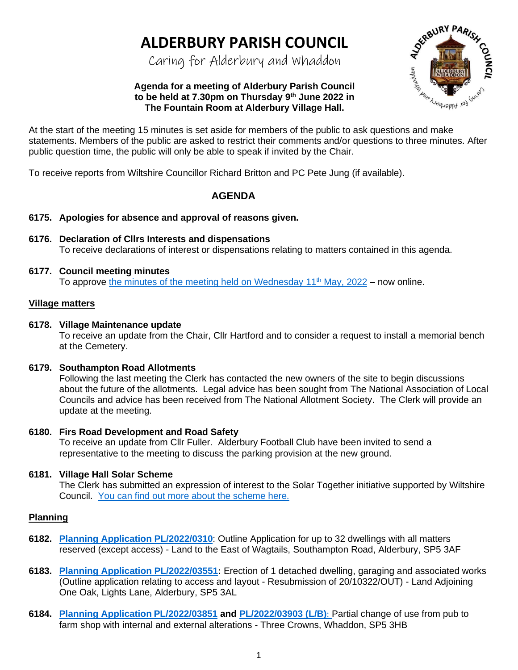# **ALDERBURY PARISH COUNCIL**

Caring for Alderbury and Whaddon

## **Agenda for a meeting of Alderbury Parish Council to be held at 7.30pm on Thursday 9th June 2022 in The Fountain Room at Alderbury Village Hall.**



At the start of the meeting 15 minutes is set aside for members of the public to ask questions and make statements. Members of the public are asked to restrict their comments and/or questions to three minutes. After public question time, the public will only be able to speak if invited by the Chair.

To receive reports from Wiltshire Councillor Richard Britton and PC Pete Jung (if available).

# **AGENDA**

- **6175. Apologies for absence and approval of reasons given.**
- **6176. Declaration of Cllrs Interests and dispensations** To receive declarations of interest or dispensations relating to matters contained in this agenda.

## **6177. Council meeting minutes**

To approve [the minutes of the meeting held on](http://www.alderburyparishcouncil.gov.uk/Meetings_Agendas__and__Minutes_34465.aspx) Wednesday  $11<sup>th</sup>$  May, 2022 – now online.

## **Village matters**

## **6178. Village Maintenance update**

To receive an update from the Chair, Cllr Hartford and to consider a request to install a memorial bench at the Cemetery.

# **6179. Southampton Road Allotments**

Following the last meeting the Clerk has contacted the new owners of the site to begin discussions about the future of the allotments. Legal advice has been sought from The National Association of Local Councils and advice has been received from The National Allotment Society. The Clerk will provide an update at the meeting.

# **6180. Firs Road Development and Road Safety**

To receive an update from Cllr Fuller. Alderbury Football Club have been invited to send a representative to the meeting to discuss the parking provision at the new ground.

# **6181. Village Hall Solar Scheme**

The Clerk has submitted an expression of interest to the Solar Together initiative supported by Wiltshire Council. [You can find out more about the scheme here.](https://youtu.be/p56RJp9c6Yo)

# **Planning**

- **6182. [Planning Application PL/2022/0310](https://development.wiltshire.gov.uk/pr/s/planning-application/a0i3z0000183tyFAAQ/pl202203103)**: Outline Application for up to 32 dwellings with all matters reserved (except access) - Land to the East of Wagtails, Southampton Road, Alderbury, SP5 3AF
- **6183. [Planning Application PL/2022/03551:](https://development.wiltshire.gov.uk/pr/s/planning-application/a0i3z000018657gAAA/pl202203551)** Erection of 1 detached dwelling, garaging and associated works (Outline application relating to access and layout - Resubmission of 20/10322/OUT) - Land Adjoining One Oak, Lights Lane, Alderbury, SP5 3AL
- **6184. [Planning Application](https://development.wiltshire.gov.uk/pr/s/planning-application/a0i3z000018G580AAC/pl202203851) PL/2022/03851 and [PL/2022/03903](https://development.wiltshire.gov.uk/pr/s/planning-application/a0i3z000018G8IcAAK/pl202203903) (L/B)**[:](https://development.wiltshire.gov.uk/pr/s/planning-application/a0i3z000018G8IcAAK/pl202203903) Partial change of use from pub to farm shop with internal and external alterations - Three Crowns, Whaddon, SP5 3HB